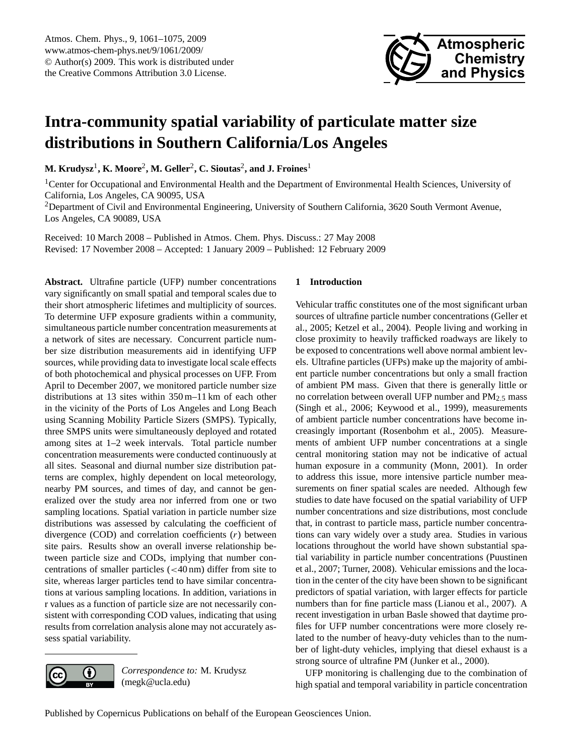

# <span id="page-0-0"></span>**Intra-community spatial variability of particulate matter size distributions in Southern California/Los Angeles**

**M. Krudysz**<sup>1</sup> **, K. Moore**<sup>2</sup> **, M. Geller**<sup>2</sup> **, C. Sioutas**<sup>2</sup> **, and J. Froines**<sup>1</sup>

<sup>1</sup>Center for Occupational and Environmental Health and the Department of Environmental Health Sciences, University of California, Los Angeles, CA 90095, USA

<sup>2</sup>Department of Civil and Environmental Engineering, University of Southern California, 3620 South Vermont Avenue, Los Angeles, CA 90089, USA

Received: 10 March 2008 – Published in Atmos. Chem. Phys. Discuss.: 27 May 2008 Revised: 17 November 2008 – Accepted: 1 January 2009 – Published: 12 February 2009

**Abstract.** Ultrafine particle (UFP) number concentrations vary significantly on small spatial and temporal scales due to their short atmospheric lifetimes and multiplicity of sources. To determine UFP exposure gradients within a community, simultaneous particle number concentration measurements at a network of sites are necessary. Concurrent particle number size distribution measurements aid in identifying UFP sources, while providing data to investigate local scale effects of both photochemical and physical processes on UFP. From April to December 2007, we monitored particle number size distributions at 13 sites within 350 m–11 km of each other in the vicinity of the Ports of Los Angeles and Long Beach using Scanning Mobility Particle Sizers (SMPS). Typically, three SMPS units were simultaneously deployed and rotated among sites at 1–2 week intervals. Total particle number concentration measurements were conducted continuously at all sites. Seasonal and diurnal number size distribution patterns are complex, highly dependent on local meteorology, nearby PM sources, and times of day, and cannot be generalized over the study area nor inferred from one or two sampling locations. Spatial variation in particle number size distributions was assessed by calculating the coefficient of divergence (COD) and correlation coefficients  $(r)$  between site pairs. Results show an overall inverse relationship between particle size and CODs, implying that number concentrations of smaller particles (<40 nm) differ from site to site, whereas larger particles tend to have similar concentrations at various sampling locations. In addition, variations in r values as a function of particle size are not necessarily consistent with corresponding COD values, indicating that using results from correlation analysis alone may not accurately assess spatial variability.



*Correspondence to:* M. Krudysz (megk@ucla.edu)

## **1 Introduction**

Vehicular traffic constitutes one of the most significant urban sources of ultrafine particle number concentrations (Geller et al., 2005; Ketzel et al., 2004). People living and working in close proximity to heavily trafficked roadways are likely to be exposed to concentrations well above normal ambient levels. Ultrafine particles (UFPs) make up the majority of ambient particle number concentrations but only a small fraction of ambient PM mass. Given that there is generally little or no correlation between overall UFP number and  $PM_{2.5}$  mass (Singh et al., 2006; Keywood et al., 1999), measurements of ambient particle number concentrations have become increasingly important (Rosenbohm et al., 2005). Measurements of ambient UFP number concentrations at a single central monitoring station may not be indicative of actual human exposure in a community (Monn, 2001). In order to address this issue, more intensive particle number measurements on finer spatial scales are needed. Although few studies to date have focused on the spatial variability of UFP number concentrations and size distributions, most conclude that, in contrast to particle mass, particle number concentrations can vary widely over a study area. Studies in various locations throughout the world have shown substantial spatial variability in particle number concentrations (Puustinen et al., 2007; Turner, 2008). Vehicular emissions and the location in the center of the city have been shown to be significant predictors of spatial variation, with larger effects for particle numbers than for fine particle mass (Lianou et al., 2007). A recent investigation in urban Basle showed that daytime profiles for UFP number concentrations were more closely related to the number of heavy-duty vehicles than to the number of light-duty vehicles, implying that diesel exhaust is a strong source of ultrafine PM (Junker et al., 2000).

UFP monitoring is challenging due to the combination of high spatial and temporal variability in particle concentration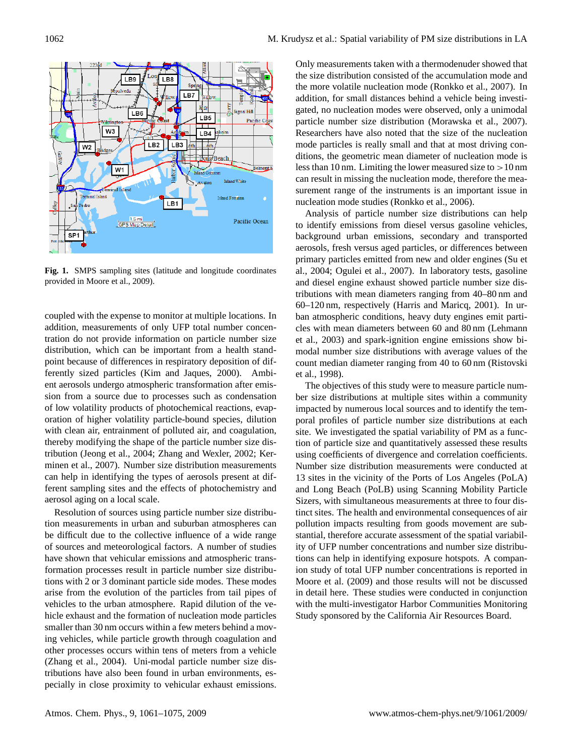

**Fig. 1.** SMPS sampling sites (latitude and longitude coordinates provided in Moore et al., 2009).

coupled with the expense to monitor at multiple locations. In addition, measurements of only UFP total number concentration do not provide information on particle number size distribution, which can be important from a health standpoint because of differences in respiratory deposition of differently sized particles (Kim and Jaques, 2000). Ambient aerosols undergo atmospheric transformation after emission from a source due to processes such as condensation of low volatility products of photochemical reactions, evaporation of higher volatility particle-bound species, dilution with clean air, entrainment of polluted air, and coagulation, thereby modifying the shape of the particle number size distribution (Jeong et al., 2004; Zhang and Wexler, 2002; Kerminen et al., 2007). Number size distribution measurements can help in identifying the types of aerosols present at different sampling sites and the effects of photochemistry and aerosol aging on a local scale.

Resolution of sources using particle number size distribution measurements in urban and suburban atmospheres can be difficult due to the collective influence of a wide range of sources and meteorological factors. A number of studies have shown that vehicular emissions and atmospheric transformation processes result in particle number size distributions with 2 or 3 dominant particle side modes. These modes arise from the evolution of the particles from tail pipes of vehicles to the urban atmosphere. Rapid dilution of the vehicle exhaust and the formation of nucleation mode particles smaller than 30 nm occurs within a few meters behind a moving vehicles, while particle growth through coagulation and other processes occurs within tens of meters from a vehicle (Zhang et al., 2004). Uni-modal particle number size distributions have also been found in urban environments, especially in close proximity to vehicular exhaust emissions. Only measurements taken with a thermodenuder showed that the size distribution consisted of the accumulation mode and the more volatile nucleation mode (Ronkko et al., 2007). In addition, for small distances behind a vehicle being investigated, no nucleation modes were observed, only a unimodal particle number size distribution (Morawska et al., 2007). Researchers have also noted that the size of the nucleation mode particles is really small and that at most driving conditions, the geometric mean diameter of nucleation mode is less than 10 nm. Limiting the lower measured size to  $>10$  nm can result in missing the nucleation mode, therefore the measurement range of the instruments is an important issue in nucleation mode studies (Ronkko et al., 2006).

Analysis of particle number size distributions can help to identify emissions from diesel versus gasoline vehicles, background urban emissions, secondary and transported aerosols, fresh versus aged particles, or differences between primary particles emitted from new and older engines (Su et al., 2004; Ogulei et al., 2007). In laboratory tests, gasoline and diesel engine exhaust showed particle number size distributions with mean diameters ranging from 40–80 nm and 60–120 nm, respectively (Harris and Maricq, 2001). In urban atmospheric conditions, heavy duty engines emit particles with mean diameters between 60 and 80 nm (Lehmann et al., 2003) and spark-ignition engine emissions show bimodal number size distributions with average values of the count median diameter ranging from 40 to 60 nm (Ristovski et al., 1998).

The objectives of this study were to measure particle number size distributions at multiple sites within a community impacted by numerous local sources and to identify the temporal profiles of particle number size distributions at each site. We investigated the spatial variability of PM as a function of particle size and quantitatively assessed these results using coefficients of divergence and correlation coefficients. Number size distribution measurements were conducted at 13 sites in the vicinity of the Ports of Los Angeles (PoLA) and Long Beach (PoLB) using Scanning Mobility Particle Sizers, with simultaneous measurements at three to four distinct sites. The health and environmental consequences of air pollution impacts resulting from goods movement are substantial, therefore accurate assessment of the spatial variability of UFP number concentrations and number size distributions can help in identifying exposure hotspots. A companion study of total UFP number concentrations is reported in Moore et al. (2009) and those results will not be discussed in detail here. These studies were conducted in conjunction with the multi-investigator Harbor Communities Monitoring Study sponsored by the California Air Resources Board.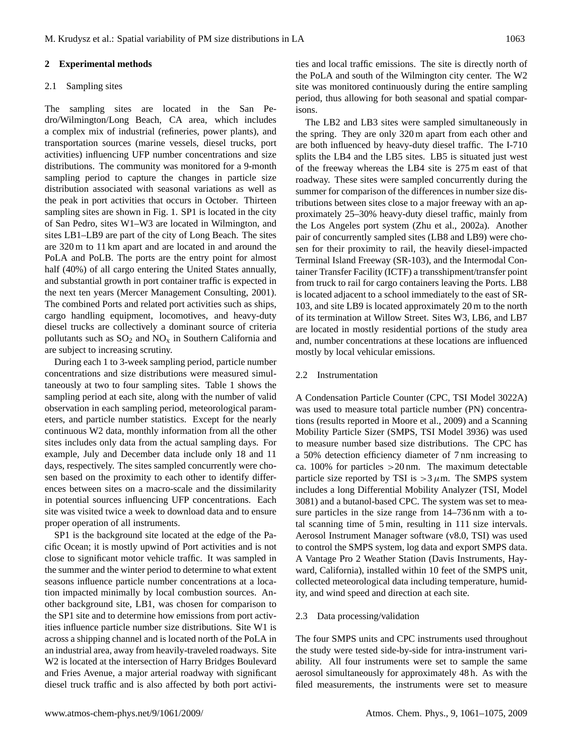#### **2 Experimental methods**

#### 2.1 Sampling sites

The sampling sites are located in the San Pedro/Wilmington/Long Beach, CA area, which includes a complex mix of industrial (refineries, power plants), and transportation sources (marine vessels, diesel trucks, port activities) influencing UFP number concentrations and size distributions. The community was monitored for a 9-month sampling period to capture the changes in particle size distribution associated with seasonal variations as well as the peak in port activities that occurs in October. Thirteen sampling sites are shown in Fig. 1. SP1 is located in the city of San Pedro, sites W1–W3 are located in Wilmington, and sites LB1–LB9 are part of the city of Long Beach. The sites are 320 m to 11 km apart and are located in and around the PoLA and PoLB. The ports are the entry point for almost half (40%) of all cargo entering the United States annually, and substantial growth in port container traffic is expected in the next ten years (Mercer Management Consulting, 2001). The combined Ports and related port activities such as ships, cargo handling equipment, locomotives, and heavy-duty diesel trucks are collectively a dominant source of criteria pollutants such as  $SO_2$  and  $NO_x$  in Southern California and are subject to increasing scrutiny.

During each 1 to 3-week sampling period, particle number concentrations and size distributions were measured simultaneously at two to four sampling sites. Table 1 shows the sampling period at each site, along with the number of valid observation in each sampling period, meteorological parameters, and particle number statistics. Except for the nearly continuous W2 data, monthly information from all the other sites includes only data from the actual sampling days. For example, July and December data include only 18 and 11 days, respectively. The sites sampled concurrently were chosen based on the proximity to each other to identify differences between sites on a macro-scale and the dissimilarity in potential sources influencing UFP concentrations. Each site was visited twice a week to download data and to ensure proper operation of all instruments.

SP1 is the background site located at the edge of the Pacific Ocean; it is mostly upwind of Port activities and is not close to significant motor vehicle traffic. It was sampled in the summer and the winter period to determine to what extent seasons influence particle number concentrations at a location impacted minimally by local combustion sources. Another background site, LB1, was chosen for comparison to the SP1 site and to determine how emissions from port activities influence particle number size distributions. Site W1 is across a shipping channel and is located north of the PoLA in an industrial area, away from heavily-traveled roadways. Site W2 is located at the intersection of Harry Bridges Boulevard and Fries Avenue, a major arterial roadway with significant diesel truck traffic and is also affected by both port activities and local traffic emissions. The site is directly north of the PoLA and south of the Wilmington city center. The W2 site was monitored continuously during the entire sampling period, thus allowing for both seasonal and spatial comparisons.

The LB2 and LB3 sites were sampled simultaneously in the spring. They are only 320 m apart from each other and are both influenced by heavy-duty diesel traffic. The I-710 splits the LB4 and the LB5 sites. LB5 is situated just west of the freeway whereas the LB4 site is 275 m east of that roadway. These sites were sampled concurrently during the summer for comparison of the differences in number size distributions between sites close to a major freeway with an approximately 25–30% heavy-duty diesel traffic, mainly from the Los Angeles port system (Zhu et al., 2002a). Another pair of concurrently sampled sites (LB8 and LB9) were chosen for their proximity to rail, the heavily diesel-impacted Terminal Island Freeway (SR-103), and the Intermodal Container Transfer Facility (ICTF) a transshipment/transfer point from truck to rail for cargo containers leaving the Ports. LB8 is located adjacent to a school immediately to the east of SR-103, and site LB9 is located approximately 20 m to the north of its termination at Willow Street. Sites W3, LB6, and LB7 are located in mostly residential portions of the study area and, number concentrations at these locations are influenced mostly by local vehicular emissions.

## 2.2 Instrumentation

A Condensation Particle Counter (CPC, TSI Model 3022A) was used to measure total particle number (PN) concentrations (results reported in Moore et al., 2009) and a Scanning Mobility Particle Sizer (SMPS, TSI Model 3936) was used to measure number based size distributions. The CPC has a 50% detection efficiency diameter of 7 nm increasing to ca. 100% for particles  $>20$  nm. The maximum detectable particle size reported by TSI is  $>3 \mu$ m. The SMPS system includes a long Differential Mobility Analyzer (TSI, Model 3081) and a butanol-based CPC. The system was set to measure particles in the size range from 14–736 nm with a total scanning time of 5 min, resulting in 111 size intervals. Aerosol Instrument Manager software (v8.0, TSI) was used to control the SMPS system, log data and export SMPS data. A Vantage Pro 2 Weather Station (Davis Instruments, Hayward, California), installed within 10 feet of the SMPS unit, collected meteorological data including temperature, humidity, and wind speed and direction at each site.

#### 2.3 Data processing/validation

The four SMPS units and CPC instruments used throughout the study were tested side-by-side for intra-instrument variability. All four instruments were set to sample the same aerosol simultaneously for approximately 48 h. As with the filed measurements, the instruments were set to measure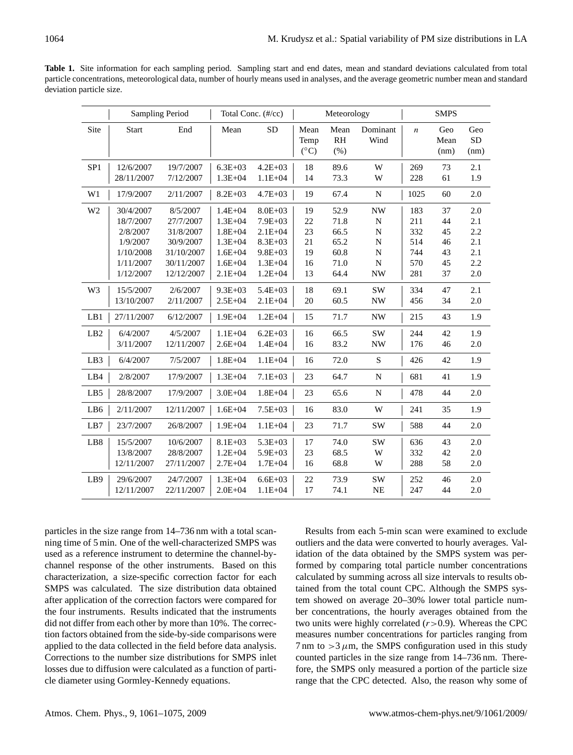**Table 1.** Site information for each sampling period. Sampling start and end dates, mean and standard deviations calculated from total particle concentrations, meteorological data, number of hourly means used in analyses, and the average geometric number mean and standard deviation particle size.

|                 | <b>Sampling Period</b> |            | Total Conc. (#/cc) |             | Meteorology                     |                                |                          | <b>SMPS</b>      |                     |                   |
|-----------------|------------------------|------------|--------------------|-------------|---------------------------------|--------------------------------|--------------------------|------------------|---------------------|-------------------|
| Site            | <b>Start</b>           | End        | Mean               | <b>SD</b>   | Mean<br>Temp<br>$({}^{\circ}C)$ | Mean<br>R <sub>H</sub><br>(% ) | Dominant<br>Wind         | $\boldsymbol{n}$ | Geo<br>Mean<br>(nm) | Geo<br>SD<br>(nm) |
| SP <sub>1</sub> | 12/6/2007              | 19/7/2007  | $6.3E + 03$        | $4.2E + 03$ | 18                              | 89.6                           | W                        | 269              | 73                  | 2.1               |
|                 | 28/11/2007             | 7/12/2007  | $1.3E + 04$        | $1.1E + 04$ | 14                              | 73.3                           | W                        | 228              | 61                  | 1.9               |
| W1              | 17/9/2007              | 2/11/2007  | $8.2E + 03$        | $4.7E + 03$ | 19                              | 67.4                           | $\mathbf N$              | 1025             | 60                  | 2.0               |
| W <sub>2</sub>  | 30/4/2007              | 8/5/2007   | $1.4E + 04$        | $8.0E + 03$ | 19                              | 52.9                           | $\ensuremath{\text{NW}}$ | 183              | 37                  | 2.0               |
|                 | 18/7/2007              | 27/7/2007  | $1.3E + 04$        | $7.9E + 03$ | 22                              | 71.8                           | N                        | 211              | 44                  | 2.1               |
|                 | 2/8/2007               | 31/8/2007  | $1.8E + 04$        | $2.1E + 04$ | 23                              | 66.5                           | $\mathbf N$              | 332              | 45                  | 2.2               |
|                 | 1/9/2007               | 30/9/2007  | $1.3E + 04$        | $8.3E + 03$ | 21                              | 65.2                           | ${\bf N}$                | 514              | 46                  | 2.1               |
|                 | 1/10/2008              | 31/10/2007 | $1.6E + 04$        | $9.8E + 03$ | 19                              | 60.8                           | $\overline{N}$           | 744              | 43                  | 2.1               |
|                 | 1/11/2007              | 30/11/2007 | $1.6E + 04$        | $1.3E + 04$ | 16                              | 71.0                           | ${\bf N}$                | 570              | 45                  | 2.2               |
|                 | 1/12/2007              | 12/12/2007 | $2.1E + 04$        | $1.2E + 04$ | 13                              | 64.4                           | $\ensuremath{\text{NW}}$ | 281              | 37                  | $2.0\,$           |
| W <sub>3</sub>  | 15/5/2007              | 2/6/2007   | $9.3E + 03$        | 5.4E+03     | 18                              | 69.1                           | <b>SW</b>                | 334              | 47                  | 2.1               |
|                 | 13/10/2007             | 2/11/2007  | $2.5E + 04$        | $2.1E + 04$ | 20                              | 60.5                           | $\ensuremath{\text{NW}}$ | 456              | 34                  | 2.0               |
| LB1             | 27/11/2007             | 6/12/2007  | $1.9E + 04$        | $1.2E + 04$ | 15                              | 71.7                           | <b>NW</b>                | 215              | 43                  | 1.9               |
| LB <sub>2</sub> | 6/4/2007               | 4/5/2007   | $1.1E + 04$        | $6.2E + 03$ | 16                              | 66.5                           | <b>SW</b>                | 244              | 42                  | 1.9               |
|                 | 3/11/2007              | 12/11/2007 | $2.6E + 04$        | $1.4E + 04$ | 16                              | 83.2                           | <b>NW</b>                | 176              | 46                  | 2.0               |
| LB <sub>3</sub> | 6/4/2007               | 7/5/2007   | $1.8E + 04$        | $1.1E + 04$ | 16                              | 72.0                           | ${\bf S}$                | 426              | 42                  | 1.9               |
| LB4             | 2/8/2007               | 17/9/2007  | $1.3E + 04$        | $7.1E + 03$ | 23                              | 64.7                           | ${\bf N}$                | 681              | 41                  | 1.9               |
| LB5             | 28/8/2007              | 17/9/2007  | $3.0E + 04$        | $1.8E + 04$ | 23                              | 65.6                           | ${\bf N}$                | 478              | 44                  | 2.0               |
| LB6             | 2/11/2007              | 12/11/2007 | $1.6E + 04$        | $7.5E + 03$ | 16                              | 83.0                           | W                        | 241              | 35                  | 1.9               |
| LB7             | 23/7/2007              | 26/8/2007  | $1.9E + 04$        | $1.1E + 04$ | 23                              | 71.7                           | <b>SW</b>                | 588              | 44                  | 2.0               |
| LB8             | 15/5/2007              | 10/6/2007  | $8.1E + 03$        | $5.3E + 03$ | 17                              | 74.0                           | <b>SW</b>                | 636              | 43                  | 2.0               |
|                 | 13/8/2007              | 28/8/2007  | $1.2E + 04$        | 5.9E+03     | 23                              | 68.5                           | W                        | 332              | 42                  | 2.0               |
|                 | 12/11/2007             | 27/11/2007 | $2.7E + 04$        | $1.7E + 04$ | 16                              | 68.8                           | W                        | 288              | 58                  | 2.0               |
| LB <sub>9</sub> | 29/6/2007              | 24/7/2007  | $1.3E + 04$        | $6.6E + 03$ | 22                              | 73.9                           | SW                       | 252              | 46                  | 2.0               |
|                 | 12/11/2007             | 22/11/2007 | $2.0E + 04$        | $1.1E + 04$ | 17                              | 74.1                           | $NE$                     | 247              | 44                  | 2.0               |

particles in the size range from 14–736 nm with a total scanning time of 5 min. One of the well-characterized SMPS was used as a reference instrument to determine the channel-bychannel response of the other instruments. Based on this characterization, a size-specific correction factor for each SMPS was calculated. The size distribution data obtained after application of the correction factors were compared for the four instruments. Results indicated that the instruments did not differ from each other by more than 10%. The correction factors obtained from the side-by-side comparisons were applied to the data collected in the field before data analysis. Corrections to the number size distributions for SMPS inlet losses due to diffusion were calculated as a function of particle diameter using Gormley-Kennedy equations.

Results from each 5-min scan were examined to exclude outliers and the data were converted to hourly averages. Validation of the data obtained by the SMPS system was performed by comparing total particle number concentrations calculated by summing across all size intervals to results obtained from the total count CPC. Although the SMPS system showed on average 20–30% lower total particle number concentrations, the hourly averages obtained from the two units were highly correlated  $(r>0.9)$ . Whereas the CPC measures number concentrations for particles ranging from 7 nm to  $>3 \mu$ m, the SMPS configuration used in this study counted particles in the size range from 14–736 nm. Therefore, the SMPS only measured a portion of the particle size range that the CPC detected. Also, the reason why some of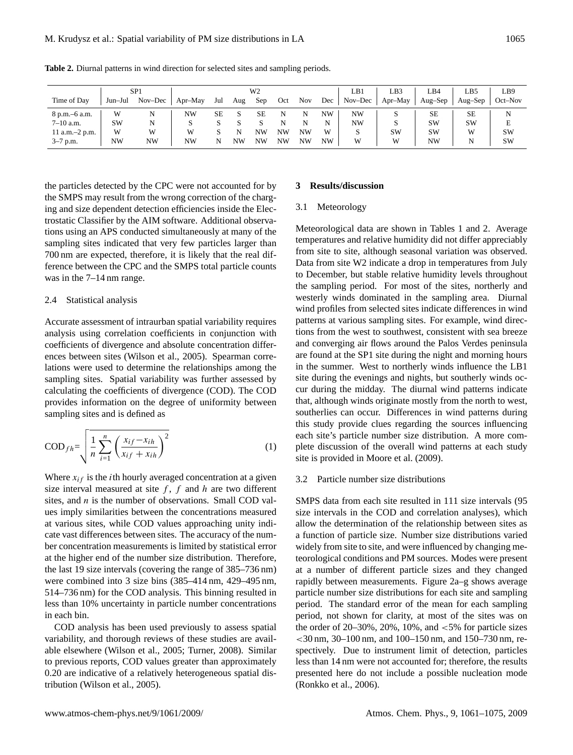11 a.m.–2 p.m. W W W S N NW NW NW W S SW SW W SW 3–7 p.m. NW NW NW N NW NW NW NW NW W W NW N SW

**Table 2.** Diurnal patterns in wind direction for selected sites and sampling periods.

the particles detected by the CPC were not accounted for by the SMPS may result from the wrong correction of the charging and size dependent detection efficiencies inside the Electrostatic Classifier by the AIM software. Additional observations using an APS conducted simultaneously at many of the sampling sites indicated that very few particles larger than 700 nm are expected, therefore, it is likely that the real difference between the CPC and the SMPS total particle counts was in the 7–14 nm range.

## 2.4 Statistical analysis

Accurate assessment of intraurban spatial variability requires analysis using correlation coefficients in conjunction with coefficients of divergence and absolute concentration differences between sites (Wilson et al., 2005). Spearman correlations were used to determine the relationships among the sampling sites. Spatial variability was further assessed by calculating the coefficients of divergence (COD). The COD provides information on the degree of uniformity between sampling sites and is defined as

$$
COD_{fh} = \sqrt{\frac{1}{n} \sum_{i=1}^{n} \left( \frac{x_{if} - x_{ih}}{x_{if} + x_{ih}} \right)^2}
$$
 (1)

Where  $x_{if}$  is the *i*th hourly averaged concentration at a given size interval measured at site  $f$ ,  $f$  and  $h$  are two different sites, and *n* is the number of observations. Small COD values imply similarities between the concentrations measured at various sites, while COD values approaching unity indicate vast differences between sites. The accuracy of the number concentration measurements is limited by statistical error at the higher end of the number size distribution. Therefore, the last 19 size intervals (covering the range of 385–736 nm) were combined into 3 size bins (385–414 nm, 429–495 nm, 514–736 nm) for the COD analysis. This binning resulted in less than 10% uncertainty in particle number concentrations in each bin.

COD analysis has been used previously to assess spatial variability, and thorough reviews of these studies are available elsewhere (Wilson et al., 2005; Turner, 2008). Similar to previous reports, COD values greater than approximately 0.20 are indicative of a relatively heterogeneous spatial distribution (Wilson et al., 2005).

## **3 Results/discussion**

#### 3.1 Meteorology

Meteorological data are shown in Tables 1 and 2. Average temperatures and relative humidity did not differ appreciably from site to site, although seasonal variation was observed. Data from site W2 indicate a drop in temperatures from July to December, but stable relative humidity levels throughout the sampling period. For most of the sites, northerly and westerly winds dominated in the sampling area. Diurnal wind profiles from selected sites indicate differences in wind patterns at various sampling sites. For example, wind directions from the west to southwest, consistent with sea breeze and converging air flows around the Palos Verdes peninsula are found at the SP1 site during the night and morning hours in the summer. West to northerly winds influence the LB1 site during the evenings and nights, but southerly winds occur during the midday. The diurnal wind patterns indicate that, although winds originate mostly from the north to west, southerlies can occur. Differences in wind patterns during this study provide clues regarding the sources influencing each site's particle number size distribution. A more complete discussion of the overall wind patterns at each study site is provided in Moore et al. (2009).

#### 3.2 Particle number size distributions

SMPS data from each site resulted in 111 size intervals (95 size intervals in the COD and correlation analyses), which allow the determination of the relationship between sites as a function of particle size. Number size distributions varied widely from site to site, and were influenced by changing meteorological conditions and PM sources. Modes were present at a number of different particle sizes and they changed rapidly between measurements. Figure 2a–g shows average particle number size distributions for each site and sampling period. The standard error of the mean for each sampling period, not shown for clarity, at most of the sites was on the order of  $20-30\%$ ,  $20\%$ ,  $10\%$ , and  $\lt 5\%$  for particle sizes  $\approx$  30 nm, 30–100 nm, and 100–150 nm, and 150–730 nm, respectively. Due to instrument limit of detection, particles less than 14 nm were not accounted for; therefore, the results presented here do not include a possible nucleation mode (Ronkko et al., 2006).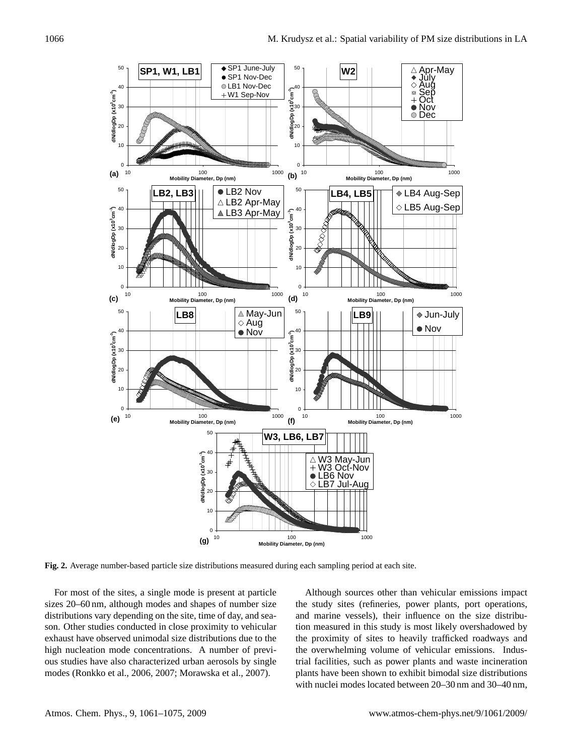

**Fig. 2.** Average number-based particle size distributions measured during each sampling period at each site.

For most of the sites, a single mode is present at particle sizes 20–60 nm, although modes and shapes of number size distributions vary depending on the site, time of day, and season. Other studies conducted in close proximity to vehicular exhaust have observed unimodal size distributions due to the high nucleation mode concentrations. A number of previous studies have also characterized urban aerosols by single modes (Ronkko et al., 2006, 2007; Morawska et al., 2007).

Although sources other than vehicular emissions impact the study sites (refineries, power plants, port operations, and marine vessels), their influence on the size distribution measured in this study is most likely overshadowed by the proximity of sites to heavily trafficked roadways and the overwhelming volume of vehicular emissions. Industrial facilities, such as power plants and waste incineration plants have been shown to exhibit bimodal size distributions with nuclei modes located between 20–30 nm and 30–40 nm,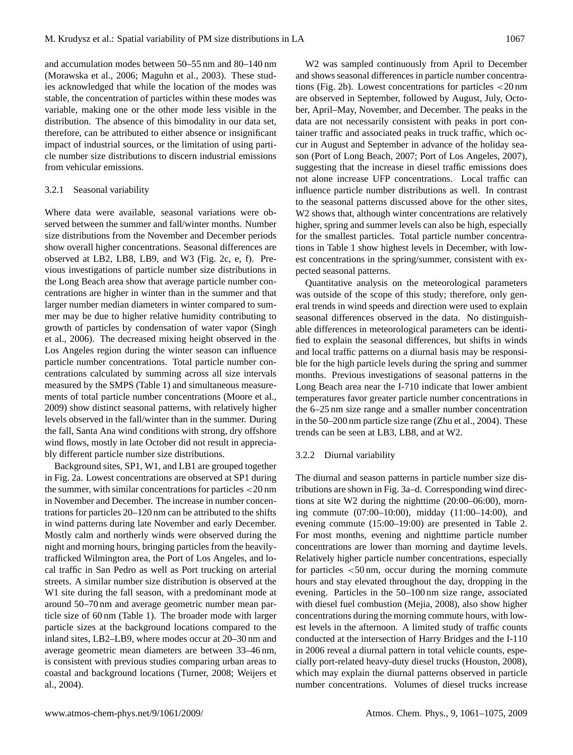and accumulation modes between 50–55 nm and 80–140 nm (Morawska et al., 2006; Maguhn et al., 2003). These studies acknowledged that while the location of the modes was stable, the concentration of particles within these modes was variable, making one or the other mode less visible in the distribution. The absence of this bimodality in our data set, therefore, can be attributed to either absence or insignificant impact of industrial sources, or the limitation of using particle number size distributions to discern industrial emissions from vehicular emissions.

#### 3.2.1 Seasonal variability

Where data were available, seasonal variations were observed between the summer and fall/winter months. Number size distributions from the November and December periods show overall higher concentrations. Seasonal differences are observed at LB2, LB8, LB9, and W3 (Fig. 2c, e, f). Previous investigations of particle number size distributions in the Long Beach area show that average particle number concentrations are higher in winter than in the summer and that larger number median diameters in winter compared to summer may be due to higher relative humidity contributing to growth of particles by condensation of water vapor (Singh et al., 2006). The decreased mixing height observed in the Los Angeles region during the winter season can influence particle number concentrations. Total particle number concentrations calculated by summing across all size intervals measured by the SMPS (Table 1) and simultaneous measurements of total particle number concentrations (Moore et al., 2009) show distinct seasonal patterns, with relatively higher levels observed in the fall/winter than in the summer. During the fall, Santa Ana wind conditions with strong, dry offshore wind flows, mostly in late October did not result in appreciably different particle number size distributions.

Background sites, SP1, W1, and LB1 are grouped together in Fig. 2a. Lowest concentrations are observed at SP1 during the summer, with similar concentrations for particles <20 nm in November and December. The increase in number concentrations for particles 20–120 nm can be attributed to the shifts in wind patterns during late November and early December. Mostly calm and northerly winds were observed during the night and morning hours, bringing particles from the heavilytrafficked Wilmington area, the Port of Los Angeles, and local traffic in San Pedro as well as Port trucking on arterial streets. A similar number size distribution is observed at the W1 site during the fall season, with a predominant mode at around 50–70 nm and average geometric number mean particle size of 60 nm (Table 1). The broader mode with larger particle sizes at the background locations compared to the inland sites, LB2–LB9, where modes occur at 20–30 nm and average geometric mean diameters are between 33–46 nm, is consistent with previous studies comparing urban areas to coastal and background locations (Turner, 2008; Weijers et al., 2004).

W2 was sampled continuously from April to December and shows seasonal differences in particle number concentrations (Fig. 2b). Lowest concentrations for particles <20 nm are observed in September, followed by August, July, October, April–May, November, and December. The peaks in the data are not necessarily consistent with peaks in port container traffic and associated peaks in truck traffic, which occur in August and September in advance of the holiday season (Port of Long Beach, 2007; Port of Los Angeles, 2007), suggesting that the increase in diesel traffic emissions does not alone increase UFP concentrations. Local traffic can influence particle number distributions as well. In contrast to the seasonal patterns discussed above for the other sites, W<sub>2</sub> shows that, although winter concentrations are relatively higher, spring and summer levels can also be high, especially for the smallest particles. Total particle number concentrations in Table 1 show highest levels in December, with lowest concentrations in the spring/summer, consistent with expected seasonal patterns.

Quantitative analysis on the meteorological parameters was outside of the scope of this study; therefore, only general trends in wind speeds and direction were used to explain seasonal differences observed in the data. No distinguishable differences in meteorological parameters can be identified to explain the seasonal differences, but shifts in winds and local traffic patterns on a diurnal basis may be responsible for the high particle levels during the spring and summer months. Previous investigations of seasonal patterns in the Long Beach area near the I-710 indicate that lower ambient temperatures favor greater particle number concentrations in the 6–25 nm size range and a smaller number concentration in the 50–200 nm particle size range (Zhu et al., 2004). These trends can be seen at LB3, LB8, and at W2.

#### 3.2.2 Diurnal variability

The diurnal and season patterns in particle number size distributions are shown in Fig. 3a–d. Corresponding wind directions at site W2 during the nighttime (20:00–06:00), morning commute (07:00–10:00), midday (11:00–14:00), and evening commute (15:00–19:00) are presented in Table 2. For most months, evening and nighttime particle number concentrations are lower than morning and daytime levels. Relatively higher particle number concentrations, especially for particles  $< 50 \text{ nm}$ , occur during the morning commute hours and stay elevated throughout the day, dropping in the evening. Particles in the 50–100 nm size range, associated with diesel fuel combustion (Mejia, 2008), also show higher concentrations during the morning commute hours, with lowest levels in the afternoon. A limited study of traffic counts conducted at the intersection of Harry Bridges and the I-110 in 2006 reveal a diurnal pattern in total vehicle counts, especially port-related heavy-duty diesel trucks (Houston, 2008), which may explain the diurnal patterns observed in particle number concentrations. Volumes of diesel trucks increase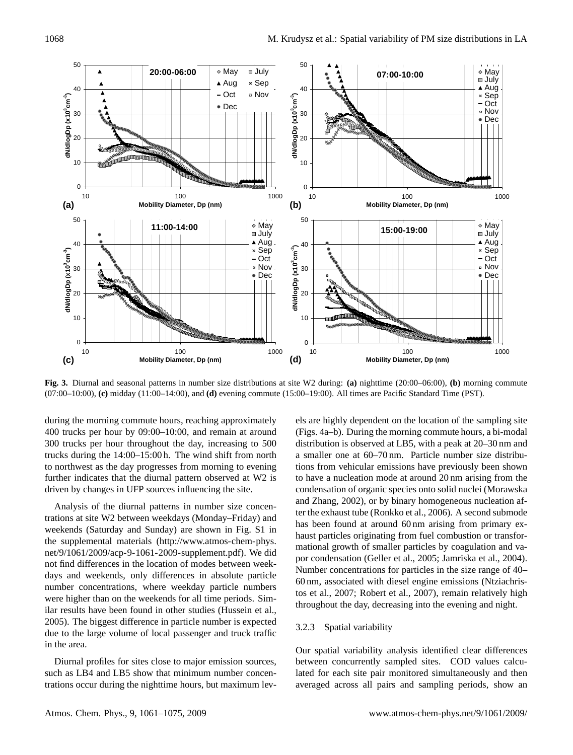

32 **Fig. 3.** Diurnal and seasonal patterns in number size distributions at site W2 during: **(a)** nighttime (20:00–06:00), **(b)** morning commute (07:00–10:00), **(c)** midday (11:00–14:00), and **(d)** evening commute (15:00–19:00). All times are Pacific Standard Time (PST).

during the morning commute hours, reaching approximately 400 trucks per hour by 09:00–10:00, and remain at around 300 trucks per hour throughout the day, increasing to 500 trucks during the 14:00–15:00 h. The wind shift from north to northwest as the day progresses from morning to evening further indicates that the diurnal pattern observed at W2 is driven by changes in UFP sources influencing the site.

Analysis of the diurnal patterns in number size concentrations at site W2 between weekdays (Monday–Friday) and weekends (Saturday and Sunday) are shown in Fig. S1 in the supplemental materials [\(http://www.atmos-chem-phys.](http://www.atmos-chem-phys.net/9/1061/2009/acp-9-1061-2009-supplement.pdf) [net/9/1061/2009/acp-9-1061-2009-supplement.pdf\)](http://www.atmos-chem-phys.net/9/1061/2009/acp-9-1061-2009-supplement.pdf). We did not find differences in the location of modes between weekdays and weekends, only differences in absolute particle number concentrations, where weekday particle numbers were higher than on the weekends for all time periods. Similar results have been found in other studies (Hussein et al., 2005). The biggest difference in particle number is expected due to the large volume of local passenger and truck traffic in the area.

Diurnal profiles for sites close to major emission sources, such as LB4 and LB5 show that minimum number concentrations occur during the nighttime hours, but maximum levels are highly dependent on the location of the sampling site (Figs. 4a–b). During the morning commute hours, a bi-modal distribution is observed at LB5, with a peak at 20–30 nm and a smaller one at 60–70 nm. Particle number size distributions from vehicular emissions have previously been shown to have a nucleation mode at around 20 nm arising from the condensation of organic species onto solid nuclei (Morawska and Zhang, 2002), or by binary homogeneous nucleation after the exhaust tube (Ronkko et al., 2006). A second submode has been found at around 60 nm arising from primary exhaust particles originating from fuel combustion or transformational growth of smaller particles by coagulation and vapor condensation (Geller et al., 2005; Jamriska et al., 2004). Number concentrations for particles in the size range of 40– 60 nm, associated with diesel engine emissions (Ntziachristos et al., 2007; Robert et al., 2007), remain relatively high throughout the day, decreasing into the evening and night.

## 3.2.3 Spatial variability

Our spatial variability analysis identified clear differences between concurrently sampled sites. COD values calculated for each site pair monitored simultaneously and then averaged across all pairs and sampling periods, show an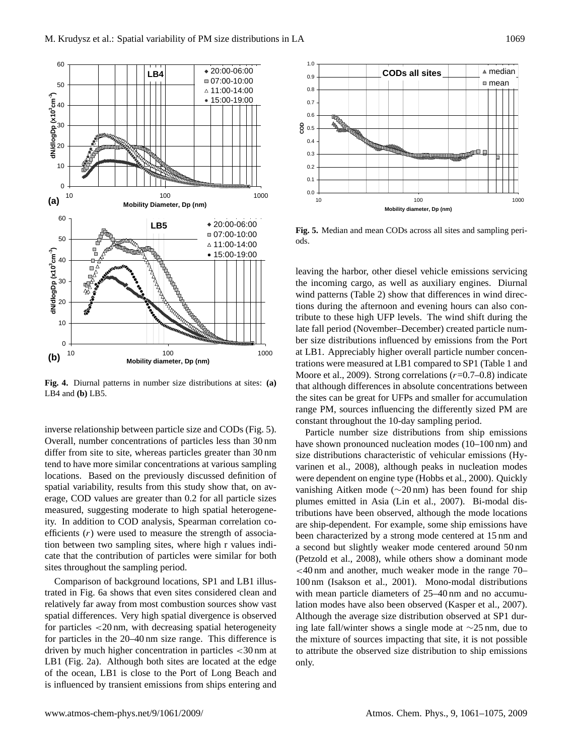

**Fig. 4.** Diurnal patterns in number size distributions at sites: **(a)** LB4 and **(b)** LB5.

inverse relationship between particle size and CODs (Fig. 5). Overall, number concentrations of particles less than 30 nm differ from site to site, whereas particles greater than 30 nm tend to have more similar concentrations at various sampling locations. Based on the previously discussed definition of spatial variability, results from this study show that, on average, COD values are greater than 0.2 for all particle sizes measured, suggesting moderate to high spatial heterogeneity. In addition to COD analysis, Spearman correlation coefficients  $(r)$  were used to measure the strength of association between two sampling sites, where high r values indicate that the contribution of particles were similar for both sites throughout the sampling period.

Comparison of background locations, SP1 and LB1 illustrated in Fig. 6a shows that even sites considered clean and relatively far away from most combustion sources show vast spatial differences. Very high spatial divergence is observed for particles <20 nm, with decreasing spatial heterogeneity for particles in the 20–40 nm size range. This difference is driven by much higher concentration in particles <30 nm at LB1 (Fig. 2a). Although both sites are located at the edge of the ocean, LB1 is close to the Port of Long Beach and is influenced by transient emissions from ships entering and



**Fig. 5.** Median and mean CODs across all sites and sampling periods.

at LB1. Appreciably higher overall particle number concenleaving the harbor, other diesel vehicle emissions servicing the incoming cargo, as well as auxiliary engines. Diurnal wind patterns (Table 2) show that differences in wind directions during the afternoon and evening hours can also contribute to these high UFP levels. The wind shift during the late fall period (November–December) created particle number size distributions influenced by emissions from the Port trations were measured at LB1 compared to SP1 (Table 1 and Moore et al., 2009). Strong correlations  $(r=0.7-0.8)$  indicate that although differences in absolute concentrations between the sites can be great for UFPs and smaller for accumulation range PM, sources influencing the differently sized PM are constant throughout the 10-day sampling period.

Particle number size distributions from ship emissions have shown pronounced nucleation modes (10–100 nm) and size distributions characteristic of vehicular emissions (Hyvarinen et al., 2008), although peaks in nucleation modes were dependent on engine type (Hobbs et al., 2000). Quickly vanishing Aitken mode (∼20 nm) has been found for ship plumes emitted in Asia (Lin et al., 2007). Bi-modal distributions have been observed, although the mode locations are ship-dependent. For example, some ship emissions have been characterized by a strong mode centered at 15 nm and a second but slightly weaker mode centered around 50 nm (Petzold et al., 2008), while others show a dominant mode <40 nm and another, much weaker mode in the range 70– 100 nm (Isakson et al., 2001). Mono-modal distributions with mean particle diameters of 25–40 nm and no accumulation modes have also been observed (Kasper et al., 2007). Although the average size distribution observed at SP1 during late fall/winter shows a single mode at ∼25 nm, due to the mixture of sources impacting that site, it is not possible to attribute the observed size distribution to ship emissions only.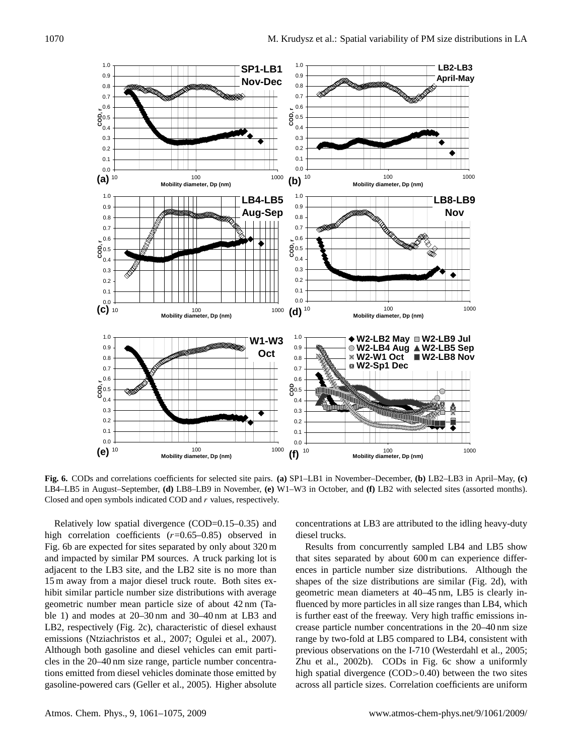

**Fig. 6.** CODs and correlations coefficients for selected site pairs. **(a)** SP1–LB1 in November–December, **(b)** LB2–LB3 in April–May, **(c)** LB4–LB5 in August–September, **(d)** LB8–LB9 in November, **(e)** W1–W3 in October, and **(f)** LB2 with selected sites (assorted months). Closed and open symbols indicated COD and r values, respectively.

Relatively low spatial divergence (COD=0.15–0.35) and high correlation coefficients  $(r=0.65-0.85)$  observed in Fig. 6b are expected for sites separated by only about 320 m and impacted by similar PM sources. A truck parking lot is adjacent to the LB3 site, and the LB2 site is no more than 15 m away from a major diesel truck route. Both sites exhibit similar particle number size distributions with average geometric number mean particle size of about 42 nm (Table 1) and modes at 20–30 nm and 30–40 nm at LB3 and LB2, respectively (Fig. 2c), characteristic of diesel exhaust emissions (Ntziachristos et al., 2007; Ogulei et al., 2007). Although both gasoline and diesel vehicles can emit particles in the 20–40 nm size range, particle number concentrations emitted from diesel vehicles dominate those emitted by gasoline-powered cars (Geller et al., 2005). Higher absolute concentrations at LB3 are attributed to the idling heavy-duty diesel trucks.

shapes of the size distributions are similar (Fig. 2d), with Results from concurrently sampled LB4 and LB5 show that sites separated by about 600 m can experience differences in particle number size distributions. Although the geometric mean diameters at 40–45 nm, LB5 is clearly influenced by more particles in all size ranges than LB4, which is further east of the freeway. Very high traffic emissions increase particle number concentrations in the 20–40 nm size range by two-fold at LB5 compared to LB4, consistent with previous observations on the I-710 (Westerdahl et al., 2005; Zhu et al., 2002b). CODs in Fig. 6c show a uniformly high spatial divergence (COD>0.40) between the two sites across all particle sizes. Correlation coefficients are uniform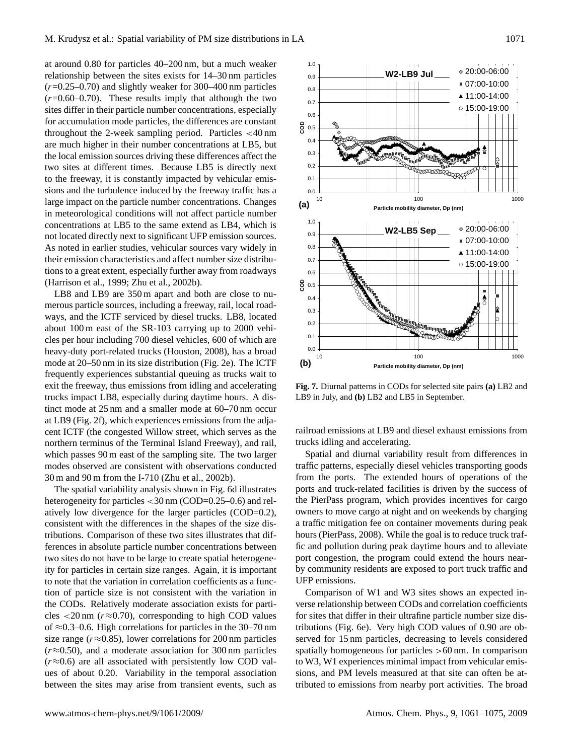at around 0.80 for particles 40–200 nm, but a much weaker relationship between the sites exists for 14–30 nm particles  $(r=0.25-0.70)$  and slightly weaker for 300–400 nm particles  $(r=0.60-0.70)$ . These results imply that although the two sites differ in their particle number concentrations, especially for accumulation mode particles, the differences are constant throughout the 2-week sampling period. Particles <40 nm are much higher in their number concentrations at LB5, but the local emission sources driving these differences affect the two sites at different times. Because LB5 is directly next to the freeway, it is constantly impacted by vehicular emissions and the turbulence induced by the freeway traffic has a large impact on the particle number concentrations. Changes in meteorological conditions will not affect particle number concentrations at LB5 to the same extend as LB4, which is not located directly next to significant UFP emission sources. As noted in earlier studies, vehicular sources vary widely in their emission characteristics and affect number size distributions to a great extent, especially further away from roadways (Harrison et al., 1999; Zhu et al., 2002b).

LB8 and LB9 are 350 m apart and both are close to numerous particle sources, including a freeway, rail, local roadways, and the ICTF serviced by diesel trucks. LB8, located about 100 m east of the SR-103 carrying up to 2000 vehicles per hour including 700 diesel vehicles, 600 of which are heavy-duty port-related trucks (Houston, 2008), has a broad mode at 20–50 nm in its size distribution (Fig. 2e). The ICTF frequently experiences substantial queuing as trucks wait to exit the freeway, thus emissions from idling and accelerating trucks impact LB8, especially during daytime hours. A distinct mode at 25 nm and a smaller mode at 60–70 nm occur at LB9 (Fig. 2f), which experiences emissions from the adjacent ICTF (the congested Willow street, which serves as the northern terminus of the Terminal Island Freeway), and rail, which passes 90 m east of the sampling site. The two larger modes observed are consistent with observations conducted 30 m and 90 m from the I-710 (Zhu et al., 2002b).

The spatial variability analysis shown in Fig. 6d illustrates heterogeneity for particles  $\langle 30 \text{ nm}$  (COD=0.25–0.6) and relatively low divergence for the larger particles (COD=0.2), consistent with the differences in the shapes of the size distributions. Comparison of these two sites illustrates that differences in absolute particle number concentrations between two sites do not have to be large to create spatial heterogeneity for particles in certain size ranges. Again, it is important to note that the variation in correlation coefficients as a function of particle size is not consistent with the variation in the CODs. Relatively moderate association exists for particles <20 nm ( $r \approx 0.70$ ), corresponding to high COD values of ≈0.3–0.6. High correlations for particles in the 30–70 nm size range ( $r \approx 0.85$ ), lower correlations for 200 nm particles  $(r \approx 0.50)$ , and a moderate association for 300 nm particles  $(r \approx 0.6)$  are all associated with persistently low COD values of about 0.20. Variability in the temporal association between the sites may arise from transient events, such as



**Fig. 7.** Diurnal patterns in CODs for selected site pairs **(a)** LB2 and LB9 in July, and **(b)** LB2 and LB5 in September.

railroad emissions at LB9 and diesel exhaust emissions from trucks idling and accelerating.

Spatial and diurnal variability result from differences in traffic patterns, especially diesel vehicles transporting goods from the ports. The extended hours of operations of the ports and truck-related facilities is driven by the success of the PierPass program, which provides incentives for cargo owners to move cargo at night and on weekends by charging a traffic mitigation fee on container movements during peak hours (PierPass, 2008). While the goal is to reduce truck traffic and pollution during peak daytime hours and to alleviate port congestion, the program could extend the hours nearby community residents are exposed to port truck traffic and UFP emissions.

Comparison of W1 and W3 sites shows an expected inverse relationship between CODs and correlation coefficients for sites that differ in their ultrafine particle number size distributions (Fig. 6e). Very high COD values of 0.90 are observed for 15 nm particles, decreasing to levels considered spatially homogeneous for particles >60 nm. In comparison to W3, W1 experiences minimal impact from vehicular emissions, and PM levels measured at that site can often be attributed to emissions from nearby port activities. The broad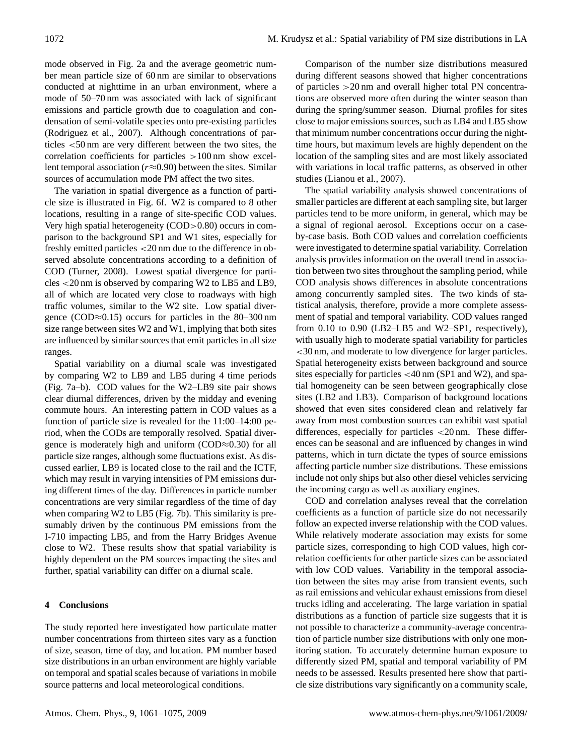mode observed in Fig. 2a and the average geometric number mean particle size of 60 nm are similar to observations conducted at nighttime in an urban environment, where a mode of 50–70 nm was associated with lack of significant emissions and particle growth due to coagulation and condensation of semi-volatile species onto pre-existing particles (Rodriguez et al., 2007). Although concentrations of particles <50 nm are very different between the two sites, the correlation coefficients for particles >100 nm show excellent temporal association ( $r \approx 0.90$ ) between the sites. Similar sources of accumulation mode PM affect the two sites.

The variation in spatial divergence as a function of particle size is illustrated in Fig. 6f. W2 is compared to 8 other locations, resulting in a range of site-specific COD values. Very high spatial heterogeneity (COD>0.80) occurs in comparison to the background SP1 and W1 sites, especially for freshly emitted particles <20 nm due to the difference in observed absolute concentrations according to a definition of COD (Turner, 2008). Lowest spatial divergence for particles <20 nm is observed by comparing W2 to LB5 and LB9, all of which are located very close to roadways with high traffic volumes, similar to the W2 site. Low spatial divergence (COD $\approx$ 0.15) occurs for particles in the 80–300 nm size range between sites W2 and W1, implying that both sites are influenced by similar sources that emit particles in all size ranges.

Spatial variability on a diurnal scale was investigated by comparing W2 to LB9 and LB5 during 4 time periods (Fig. 7a–b). COD values for the W2–LB9 site pair shows clear diurnal differences, driven by the midday and evening commute hours. An interesting pattern in COD values as a function of particle size is revealed for the 11:00–14:00 period, when the CODs are temporally resolved. Spatial divergence is moderately high and uniform (COD $\approx$ 0.30) for all particle size ranges, although some fluctuations exist. As discussed earlier, LB9 is located close to the rail and the ICTF, which may result in varying intensities of PM emissions during different times of the day. Differences in particle number concentrations are very similar regardless of the time of day when comparing W2 to LB5 (Fig. 7b). This similarity is presumably driven by the continuous PM emissions from the I-710 impacting LB5, and from the Harry Bridges Avenue close to W2. These results show that spatial variability is highly dependent on the PM sources impacting the sites and further, spatial variability can differ on a diurnal scale.

#### **4 Conclusions**

The study reported here investigated how particulate matter number concentrations from thirteen sites vary as a function of size, season, time of day, and location. PM number based size distributions in an urban environment are highly variable on temporal and spatial scales because of variations in mobile source patterns and local meteorological conditions.

Comparison of the number size distributions measured during different seasons showed that higher concentrations of particles >20 nm and overall higher total PN concentrations are observed more often during the winter season than during the spring/summer season. Diurnal profiles for sites close to major emissions sources, such as LB4 and LB5 show that minimum number concentrations occur during the nighttime hours, but maximum levels are highly dependent on the location of the sampling sites and are most likely associated with variations in local traffic patterns, as observed in other studies (Lianou et al., 2007).

The spatial variability analysis showed concentrations of smaller particles are different at each sampling site, but larger particles tend to be more uniform, in general, which may be a signal of regional aerosol. Exceptions occur on a caseby-case basis. Both COD values and correlation coefficients were investigated to determine spatial variability. Correlation analysis provides information on the overall trend in association between two sites throughout the sampling period, while COD analysis shows differences in absolute concentrations among concurrently sampled sites. The two kinds of statistical analysis, therefore, provide a more complete assessment of spatial and temporal variability. COD values ranged from 0.10 to 0.90 (LB2–LB5 and W2–SP1, respectively), with usually high to moderate spatial variability for particles <30 nm, and moderate to low divergence for larger particles. Spatial heterogeneity exists between background and source sites especially for particles  $\langle 40 \text{ nm}$  (SP1 and W2), and spatial homogeneity can be seen between geographically close sites (LB2 and LB3). Comparison of background locations showed that even sites considered clean and relatively far away from most combustion sources can exhibit vast spatial differences, especially for particles <20 nm. These differences can be seasonal and are influenced by changes in wind patterns, which in turn dictate the types of source emissions affecting particle number size distributions. These emissions include not only ships but also other diesel vehicles servicing the incoming cargo as well as auxiliary engines.

COD and correlation analyses reveal that the correlation coefficients as a function of particle size do not necessarily follow an expected inverse relationship with the COD values. While relatively moderate association may exists for some particle sizes, corresponding to high COD values, high correlation coefficients for other particle sizes can be associated with low COD values. Variability in the temporal association between the sites may arise from transient events, such as rail emissions and vehicular exhaust emissions from diesel trucks idling and accelerating. The large variation in spatial distributions as a function of particle size suggests that it is not possible to characterize a community-average concentration of particle number size distributions with only one monitoring station. To accurately determine human exposure to differently sized PM, spatial and temporal variability of PM needs to be assessed. Results presented here show that particle size distributions vary significantly on a community scale,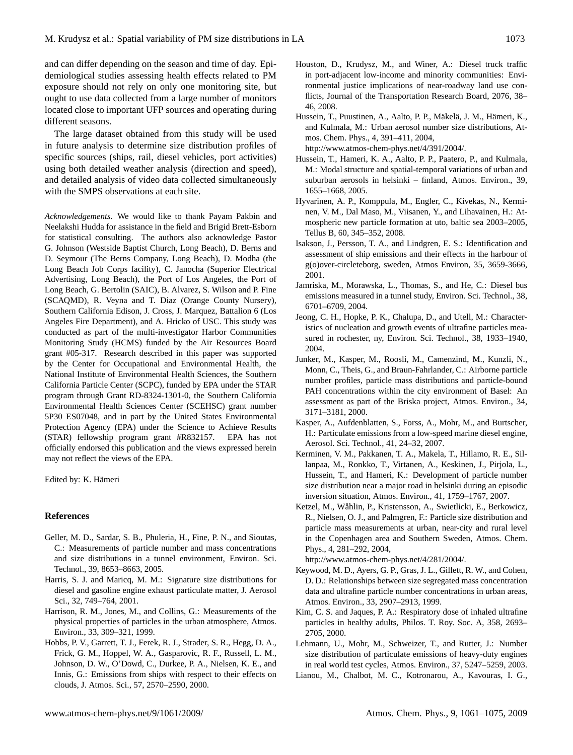and can differ depending on the season and time of day. Epidemiological studies assessing health effects related to PM exposure should not rely on only one monitoring site, but ought to use data collected from a large number of monitors located close to important UFP sources and operating during different seasons.

The large dataset obtained from this study will be used in future analysis to determine size distribution profiles of specific sources (ships, rail, diesel vehicles, port activities) using both detailed weather analysis (direction and speed), and detailed analysis of video data collected simultaneously with the SMPS observations at each site.

*Acknowledgements.* We would like to thank Payam Pakbin and Neelakshi Hudda for assistance in the field and Brigid Brett-Esborn for statistical consulting. The authors also acknowledge Pastor G. Johnson (Westside Baptist Church, Long Beach), D. Berns and D. Seymour (The Berns Company, Long Beach), D. Modha (the Long Beach Job Corps facility), C. Janocha (Superior Electrical Advertising, Long Beach), the Port of Los Angeles, the Port of Long Beach, G. Bertolin (SAIC), B. Alvarez, S. Wilson and P. Fine (SCAQMD), R. Veyna and T. Diaz (Orange County Nursery), Southern California Edison, J. Cross, J. Marquez, Battalion 6 (Los Angeles Fire Department), and A. Hricko of USC. This study was conducted as part of the multi-investigator Harbor Communities Monitoring Study (HCMS) funded by the Air Resources Board grant #05-317. Research described in this paper was supported by the Center for Occupational and Environmental Health, the National Institute of Environmental Health Sciences, the Southern California Particle Center (SCPC), funded by EPA under the STAR program through Grant RD-8324-1301-0, the Southern California Environmental Health Sciences Center (SCEHSC) grant number 5P30 ES07048, and in part by the United States Environmental Protection Agency (EPA) under the Science to Achieve Results (STAR) fellowship program grant #R832157. EPA has not officially endorsed this publication and the views expressed herein may not reflect the views of the EPA.

Edited by: K. Hämeri

#### **References**

- Geller, M. D., Sardar, S. B., Phuleria, H., Fine, P. N., and Sioutas, C.: Measurements of particle number and mass concentrations and size distributions in a tunnel environment, Environ. Sci. Technol., 39, 8653–8663, 2005.
- Harris, S. J. and Maricq, M. M.: Signature size distributions for diesel and gasoline engine exhaust particulate matter, J. Aerosol Sci., 32, 749–764, 2001.
- Harrison, R. M., Jones, M., and Collins, G.: Measurements of the physical properties of particles in the urban atmosphere, Atmos. Environ., 33, 309–321, 1999.
- Hobbs, P. V., Garrett, T. J., Ferek, R. J., Strader, S. R., Hegg, D. A., Frick, G. M., Hoppel, W. A., Gasparovic, R. F., Russell, L. M., Johnson, D. W., O'Dowd, C., Durkee, P. A., Nielsen, K. E., and Innis, G.: Emissions from ships with respect to their effects on clouds, J. Atmos. Sci., 57, 2570–2590, 2000.
- Houston, D., Krudysz, M., and Winer, A.: Diesel truck traffic in port-adjacent low-income and minority communities: Environmental justice implications of near-roadway land use conflicts, Journal of the Transportation Research Board, 2076, 38– 46, 2008.
- Hussein, T., Puustinen, A., Aalto, P. P., Mäkelä, J. M., Hämeri, K., and Kulmala, M.: Urban aerosol number size distributions, Atmos. Chem. Phys., 4, 391–411, 2004, [http://www.atmos-chem-phys.net/4/391/2004/.](http://www.atmos-chem-phys.net/4/391/2004/)
- Hussein, T., Hameri, K. A., Aalto, P. P., Paatero, P., and Kulmala, M.: Modal structure and spatial-temporal variations of urban and suburban aerosols in helsinki – finland, Atmos. Environ., 39, 1655–1668, 2005.
- Hyvarinen, A. P., Komppula, M., Engler, C., Kivekas, N., Kerminen, V. M., Dal Maso, M., Viisanen, Y., and Lihavainen, H.: Atmospheric new particle formation at uto, baltic sea 2003–2005, Tellus B, 60, 345–352, 2008.
- Isakson, J., Persson, T. A., and Lindgren, E. S.: Identification and assessment of ship emissions and their effects in the harbour of g(o)over-circleteborg, sweden, Atmos Environ, 35, 3659-3666, 2001.
- Jamriska, M., Morawska, L., Thomas, S., and He, C.: Diesel bus emissions measured in a tunnel study, Environ. Sci. Technol., 38, 6701–6709, 2004.
- Jeong, C. H., Hopke, P. K., Chalupa, D., and Utell, M.: Characteristics of nucleation and growth events of ultrafine particles measured in rochester, ny, Environ. Sci. Technol., 38, 1933–1940, 2004.
- Junker, M., Kasper, M., Roosli, M., Camenzind, M., Kunzli, N., Monn, C., Theis, G., and Braun-Fahrlander, C.: Airborne particle number profiles, particle mass distributions and particle-bound PAH concentrations within the city environment of Basel: An assessment as part of the Briska project, Atmos. Environ., 34, 3171–3181, 2000.
- Kasper, A., Aufdenblatten, S., Forss, A., Mohr, M., and Burtscher, H.: Particulate emissions from a low-speed marine diesel engine, Aerosol. Sci. Technol., 41, 24–32, 2007.
- Kerminen, V. M., Pakkanen, T. A., Makela, T., Hillamo, R. E., Sillanpaa, M., Ronkko, T., Virtanen, A., Keskinen, J., Pirjola, L., Hussein, T., and Hameri, K.: Development of particle number size distribution near a major road in helsinki during an episodic inversion situation, Atmos. Environ., 41, 1759–1767, 2007.
- Ketzel, M., Wåhlin, P., Kristensson, A., Swietlicki, E., Berkowicz, R., Nielsen, O. J., and Palmgren, F.: Particle size distribution and particle mass measurements at urban, near-city and rural level in the Copenhagen area and Southern Sweden, Atmos. Chem. Phys., 4, 281–292, 2004,

[http://www.atmos-chem-phys.net/4/281/2004/.](http://www.atmos-chem-phys.net/4/281/2004/)

- Keywood, M. D., Ayers, G. P., Gras, J. L., Gillett, R. W., and Cohen, D. D.: Relationships between size segregated mass concentration data and ultrafine particle number concentrations in urban areas, Atmos. Environ., 33, 2907–2913, 1999.
- Kim, C. S. and Jaques, P. A.: Respiratory dose of inhaled ultrafine particles in healthy adults, Philos. T. Roy. Soc. A, 358, 2693– 2705, 2000.
- Lehmann, U., Mohr, M., Schweizer, T., and Rutter, J.: Number size distribution of particulate emissions of heavy-duty engines in real world test cycles, Atmos. Environ., 37, 5247–5259, 2003.
- Lianou, M., Chalbot, M. C., Kotronarou, A., Kavouras, I. G.,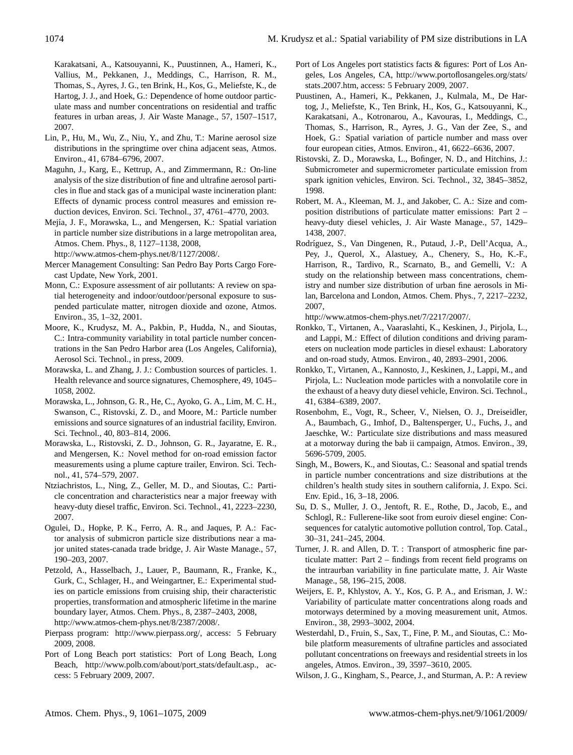Karakatsani, A., Katsouyanni, K., Puustinnen, A., Hameri, K., Vallius, M., Pekkanen, J., Meddings, C., Harrison, R. M., Thomas, S., Ayres, J. G., ten Brink, H., Kos, G., Meliefste, K., de Hartog, J. J., and Hoek, G.: Dependence of home outdoor particulate mass and number concentrations on residential and traffic features in urban areas, J. Air Waste Manage., 57, 1507–1517, 2007.

- Lin, P., Hu, M., Wu, Z., Niu, Y., and Zhu, T.: Marine aerosol size distributions in the springtime over china adjacent seas, Atmos. Environ., 41, 6784–6796, 2007.
- Maguhn, J., Karg, E., Kettrup, A., and Zimmermann, R.: On-line analysis of the size distribution of fine and ultrafine aerosol particles in flue and stack gas of a municipal waste incineration plant: Effects of dynamic process control measures and emission reduction devices, Environ. Sci. Technol., 37, 4761–4770, 2003.
- Mejía, J. F., Morawska, L., and Mengersen, K.: Spatial variation in particle number size distributions in a large metropolitan area, Atmos. Chem. Phys., 8, 1127–1138, 2008,

[http://www.atmos-chem-phys.net/8/1127/2008/.](http://www.atmos-chem-phys.net/8/1127/2008/)

- Mercer Management Consulting: San Pedro Bay Ports Cargo Forecast Update, New York, 2001.
- Monn, C.: Exposure assessment of air pollutants: A review on spatial heterogeneity and indoor/outdoor/personal exposure to suspended particulate matter, nitrogen dioxide and ozone, Atmos. Environ., 35, 1–32, 2001.
- Moore, K., Krudysz, M. A., Pakbin, P., Hudda, N., and Sioutas, C.: Intra-community variability in total particle number concentrations in the San Pedro Harbor area (Los Angeles, California), Aerosol Sci. Technol., in press, 2009.
- Morawska, L. and Zhang, J. J.: Combustion sources of particles. 1. Health relevance and source signatures, Chemosphere, 49, 1045– 1058, 2002.
- Morawska, L., Johnson, G. R., He, C., Ayoko, G. A., Lim, M. C. H., Swanson, C., Ristovski, Z. D., and Moore, M.: Particle number emissions and source signatures of an industrial facility, Environ. Sci. Technol., 40, 803–814, 2006.
- Morawska, L., Ristovski, Z. D., Johnson, G. R., Jayaratne, E. R., and Mengersen, K.: Novel method for on-road emission factor measurements using a plume capture trailer, Environ. Sci. Technol., 41, 574–579, 2007.
- Ntziachristos, L., Ning, Z., Geller, M. D., and Sioutas, C.: Particle concentration and characteristics near a major freeway with heavy-duty diesel traffic, Environ. Sci. Technol., 41, 2223–2230, 2007.
- Ogulei, D., Hopke, P. K., Ferro, A. R., and Jaques, P. A.: Factor analysis of submicron particle size distributions near a major united states-canada trade bridge, J. Air Waste Manage., 57, 190–203, 2007.
- Petzold, A., Hasselbach, J., Lauer, P., Baumann, R., Franke, K., Gurk, C., Schlager, H., and Weingartner, E.: Experimental studies on particle emissions from cruising ship, their characteristic properties, transformation and atmospheric lifetime in the marine boundary layer, Atmos. Chem. Phys., 8, 2387–2403, 2008, [http://www.atmos-chem-phys.net/8/2387/2008/.](http://www.atmos-chem-phys.net/8/2387/2008/)
- Pierpass program: [http://www.pierpass.org/,](http://www.pierpass.org/) access: 5 February 2009, 2008.
- Port of Long Beach port statistics: Port of Long Beach, Long Beach, [http://www.polb.com/about/port](http://www.polb.com/about/port_stats/default.asp.) stats/default.asp., access: 5 February 2009, 2007.
- Port of Los Angeles port statistics facts & figures: Port of Los Angeles, Los Angeles, CA, [http://www.portoflosangeles.org/stats/](http://www.portoflosangeles.org/stats/stats_2007.htm) stats [2007.htm,](http://www.portoflosangeles.org/stats/stats_2007.htm) access: 5 February 2009, 2007.
- Puustinen, A., Hameri, K., Pekkanen, J., Kulmala, M., De Hartog, J., Meliefste, K., Ten Brink, H., Kos, G., Katsouyanni, K., Karakatsani, A., Kotronarou, A., Kavouras, I., Meddings, C., Thomas, S., Harrison, R., Ayres, J. G., Van der Zee, S., and Hoek, G.: Spatial variation of particle number and mass over four european cities, Atmos. Environ., 41, 6622–6636, 2007.
- Ristovski, Z. D., Morawska, L., Bofinger, N. D., and Hitchins, J.: Submicrometer and supermicrometer particulate emission from spark ignition vehicles, Environ. Sci. Technol., 32, 3845–3852, 1998.
- Robert, M. A., Kleeman, M. J., and Jakober, C. A.: Size and composition distributions of particulate matter emissions: Part 2 – heavy-duty diesel vehicles, J. Air Waste Manage., 57, 1429– 1438, 2007.
- Rodríguez, S., Van Dingenen, R., Putaud, J.-P., Dell'Acqua, A., Pey, J., Querol, X., Alastuey, A., Chenery, S., Ho, K.-F., Harrison, R., Tardivo, R., Scarnato, B., and Gemelli, V.: A study on the relationship between mass concentrations, chemistry and number size distribution of urban fine aerosols in Milan, Barcelona and London, Atmos. Chem. Phys., 7, 2217–2232, 2007,

[http://www.atmos-chem-phys.net/7/2217/2007/.](http://www.atmos-chem-phys.net/7/2217/2007/)

- Ronkko, T., Virtanen, A., Vaaraslahti, K., Keskinen, J., Pirjola, L., and Lappi, M.: Effect of dilution conditions and driving parameters on nucleation mode particles in diesel exhaust: Laboratory and on-road study, Atmos. Environ., 40, 2893–2901, 2006.
- Ronkko, T., Virtanen, A., Kannosto, J., Keskinen, J., Lappi, M., and Pirjola, L.: Nucleation mode particles with a nonvolatile core in the exhaust of a heavy duty diesel vehicle, Environ. Sci. Technol., 41, 6384–6389, 2007.
- Rosenbohm, E., Vogt, R., Scheer, V., Nielsen, O. J., Dreiseidler, A., Baumbach, G., Imhof, D., Baltensperger, U., Fuchs, J., and Jaeschke, W.: Particulate size distributions and mass measured at a motorway during the bab ii campaign, Atmos. Environ., 39, 5696-5709, 2005.
- Singh, M., Bowers, K., and Sioutas, C.: Seasonal and spatial trends in particle number concentrations and size distributions at the children's health study sites in southern california, J. Expo. Sci. Env. Epid., 16, 3–18, 2006.
- Su, D. S., Muller, J. O., Jentoft, R. E., Rothe, D., Jacob, E., and Schlogl, R.: Fullerene-like soot from euroiv diesel engine: Consequences for catalytic automotive pollution control, Top. Catal., 30–31, 241–245, 2004.
- Turner, J. R. and Allen, D. T. : Transport of atmospheric fine particulate matter: Part 2 – findings from recent field programs on the intraurban variability in fine particulate matte, J. Air Waste Manage., 58, 196–215, 2008.
- Weijers, E. P., Khlystov, A. Y., Kos, G. P. A., and Erisman, J. W.: Variability of particulate matter concentrations along roads and motorways determined by a moving measurement unit, Atmos. Environ., 38, 2993–3002, 2004.
- Westerdahl, D., Fruin, S., Sax, T., Fine, P. M., and Sioutas, C.: Mobile platform measurements of ultrafine particles and associated pollutant concentrations on freeways and residential streets in los angeles, Atmos. Environ., 39, 3597–3610, 2005.
- Wilson, J. G., Kingham, S., Pearce, J., and Sturman, A. P.: A review